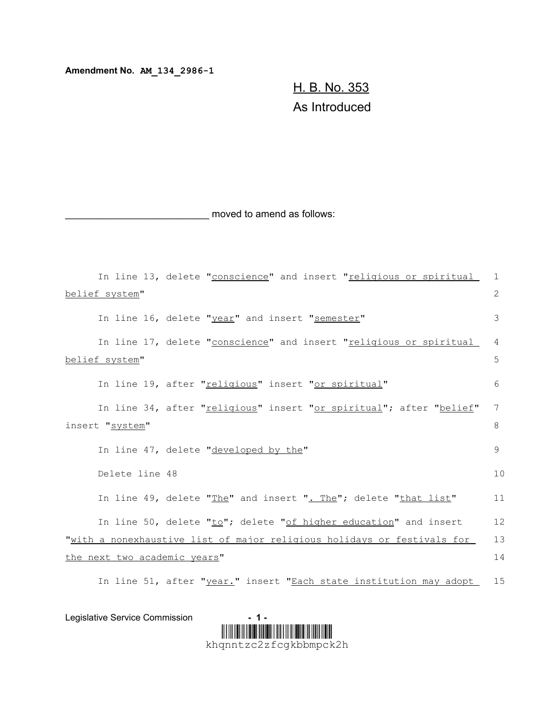**Amendment No. AM\_134\_2986-1**

H. B. No. 353 As Introduced

moved to amend as follows:

| In line 13, delete "conscience" and insert "religious or spiritual      | 1  |
|-------------------------------------------------------------------------|----|
| belief system"                                                          | 2  |
| In line 16, delete "year" and insert "semester"                         | 3  |
| In line 17, delete "conscience" and insert "religious or spiritual      | 4  |
| belief system"                                                          | 5  |
| In line 19, after "religious" insert "or spiritual"                     | 6  |
| In line 34, after "religious" insert "or spiritual"; after "belief"     | 7  |
| insert "system"                                                         | 8  |
| In line 47, delete "developed by the"                                   | 9  |
| Delete line 48                                                          | 10 |
| In line 49, delete "The" and insert ". The"; delete "that list"         | 11 |
| In line 50, delete "to"; delete "of higher education" and insert        | 12 |
| "with a nonexhaustive list of major religious holidays or festivals for | 13 |
| the next two academic years"                                            | 14 |
| In line 51, after "year." insert "Each state institution may adopt      | 15 |

Legislative Service Commission **- 1 -** 

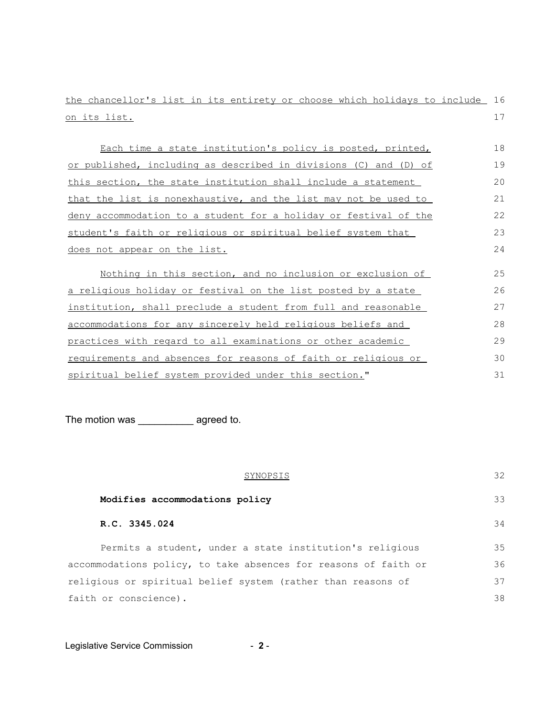| the chancellor's list in its entirety or choose which holidays to include 16 |  |  |  |  |  |  |
|------------------------------------------------------------------------------|--|--|--|--|--|--|
| on its list.                                                                 |  |  |  |  |  |  |

| Each time a state institution's policy is posted, printed,       | 18 |
|------------------------------------------------------------------|----|
| or published, including as described in divisions (C) and (D) of | 19 |
| this section, the state institution shall include a statement    | 20 |
| that the list is nonexhaustive, and the list may not be used to  | 21 |
| deny accommodation to a student for a holiday or festival of the | 22 |
| student's faith or religious or spiritual belief system that     | 23 |
| does not appear on the list.                                     | 24 |
| Nothing in this section, and no inclusion or exclusion of        | 25 |

this section, and no inclusion or exclusion of a religious holiday or festival on the list posted by a state institution, shall preclude a student from full and reasonable accommodations for any sincerely held religious beliefs and practices with regard to all examinations or other academic requirements and absences for reasons of faith or religious or spiritual belief system provided under this section." 26 27 28 29 30 31

The motion was \_\_\_\_\_\_\_\_\_\_ agreed to.

| SYNOPSIS                                                        | 32 |
|-----------------------------------------------------------------|----|
| Modifies accommodations policy                                  | 33 |
| R.C. 3345.024                                                   | 34 |
| Permits a student, under a state institution's religious        | 35 |
| accommodations policy, to take absences for reasons of faith or | 36 |
| religious or spiritual belief system (rather than reasons of    | 37 |
| faith or conscience).                                           | 38 |